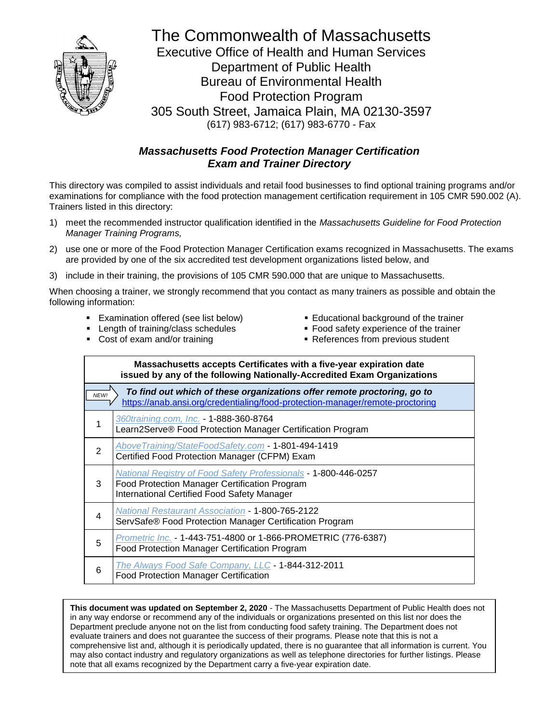

The Commonwealth of Massachusetts Executive Office of Health and Human Services Department of Public Health Bureau of Environmental Health Food Protection Program 305 South Street, Jamaica Plain, MA 02130-3597 (617) 983-6712; (617) 983-6770 - Fax

# *Massachusetts Food Protection Manager Certification Exam and Trainer Directory*

This directory was compiled to assist individuals and retail food businesses to find optional training programs and/or examinations for compliance with the food protection management certification requirement in 105 CMR 590.002 (A). Trainers listed in this directory:

- 1) meet the recommended instructor qualification identified in the *Massachusetts Guideline for Food Protection Manager Training Programs,*
- 2) use one or more of the Food Protection Manager Certification exams recognized in Massachusetts. The exams are provided by one of the six accredited test development organizations listed below, and
- 3) include in their training, the provisions of 105 CMR 590.000 that are unique to Massachusetts.

When choosing a trainer, we strongly recommend that you contact as many trainers as possible and obtain the following information:

- Examination offered (see list below)
- Educational background of the trainer
- Length of training/class schedules
- **Food safety experience of the trainer**

■ Cost of exam and/or training

■ References from previous student

|                                                                                                                                                                  | Massachusetts accepts Certificates with a five-year expiration date<br>issued by any of the following Nationally-Accredited Exam Organizations                         |
|------------------------------------------------------------------------------------------------------------------------------------------------------------------|------------------------------------------------------------------------------------------------------------------------------------------------------------------------|
| To find out which of these organizations offer remote proctoring, go to<br>NEW!<br>https://anab.ansi.org/credentialing/food-protection-manager/remote-proctoring |                                                                                                                                                                        |
| 1                                                                                                                                                                | 360training.com, Inc. - 1-888-360-8764<br>Learn2Serve® Food Protection Manager Certification Program                                                                   |
| 2                                                                                                                                                                | AboveTraining/StateFoodSafety.com - 1-801-494-1419<br>Certified Food Protection Manager (CFPM) Exam                                                                    |
| 3                                                                                                                                                                | National Registry of Food Safety Professionals - 1-800-446-0257<br>Food Protection Manager Certification Program<br><b>International Certified Food Safety Manager</b> |
| 4                                                                                                                                                                | <b>National Restaurant Association - 1-800-765-2122</b><br>ServSafe® Food Protection Manager Certification Program                                                     |
| 5                                                                                                                                                                | Prometric Inc. - 1-443-751-4800 or 1-866-PROMETRIC (776-6387)<br>Food Protection Manager Certification Program                                                         |
| 6                                                                                                                                                                | The Always Food Safe Company, LLC - 1-844-312-2011<br>Food Protection Manager Certification                                                                            |

**This document was updated on September 2, 2020** - The Massachusetts Department of Public Health does not in any way endorse or recommend any of the individuals or organizations presented on this list nor does the Department preclude anyone not on the list from conducting food safety training. The Department does not evaluate trainers and does not guarantee the success of their programs. Please note that this is not a comprehensive list and, although it is periodically updated, there is no guarantee that all information is current. You may also contact industry and regulatory organizations as well as telephone directories for further listings. Please note that all exams recognized by the Department carry a five-year expiration date.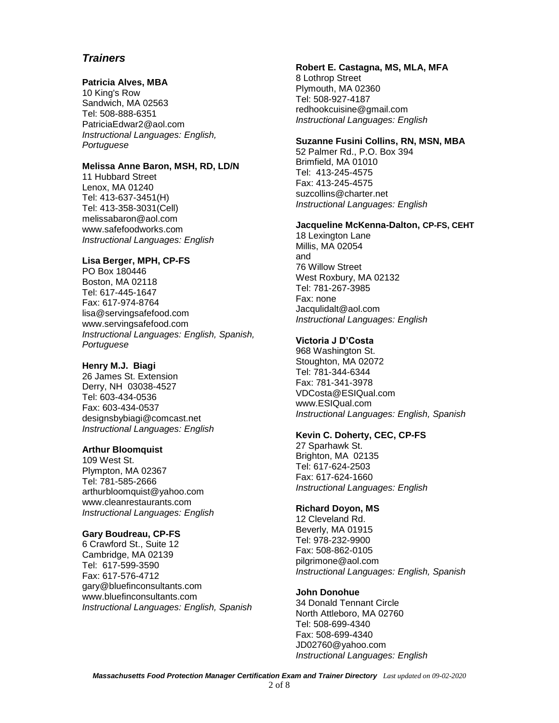## **Patricia Alves, MBA**

10 King's Row Sandwich, MA 02563 Tel: 508-888-6351 PatriciaEdwar2@aol.com *Instructional Languages: English, Portuguese*

## **Melissa Anne Baron, MSH, RD, LD/N**

11 Hubbard Street Lenox, MA 01240 Tel: 413-637-3451(H) Tel: 413-358-3031(Cell) melissabaron@aol.com www.safefoodworks.com *Instructional Languages: English*

## **Lisa Berger, MPH, CP-FS**

PO Box 180446 Boston, MA 02118 Tel: 617-445-1647 Fax: 617-974-8764 lisa@servingsafefood.com www.servingsafefood.com *Instructional Languages: English, Spanish, Portuguese*

## **Henry M.J. Biagi**

26 James St. Extension Derry, NH 03038-4527 Tel: 603-434-0536 Fax: 603-434-0537 designsbybiagi@comcast.net *Instructional Languages: English*

## **Arthur Bloomquist**

109 West St. Plympton, MA 02367 Tel: 781-585-2666 arthurbloomquist@yahoo.com www.cleanrestaurants.com *Instructional Languages: English*

## **Gary Boudreau, CP-FS**

6 Crawford St., Suite 12 Cambridge, MA 02139 Tel: 617-599-3590 Fax: 617-576-4712 gary@bluefinconsultants.com www.bluefinconsultants.com *Instructional Languages: English, Spanish*

## **Robert E. Castagna, MS, MLA, MFA**

8 Lothrop Street Plymouth, MA 02360 Tel: 508-927-4187 redhookcuisine@gmail.com *Instructional Languages: English*

## **Suzanne Fusini Collins, RN, MSN, MBA**

52 Palmer Rd., P.O. Box 394 Brimfield, MA 01010 Tel: 413-245-4575 Fax: 413-245-4575 suzcollins@charter.net *Instructional Languages: English*

## **Jacqueline McKenna-Dalton, CP-FS, CEHT**

18 Lexington Lane Millis, MA 02054 and 76 Willow Street West Roxbury, MA 02132 Tel: 781-267-3985 Fax: none Jacqulidalt@aol.com *Instructional Languages: English*

## **Victoria J D'Costa**

968 Washington St. Stoughton, MA 02072 Tel: 781-344-6344 Fax: 781-341-3978 VDCosta@ESIQual.com www.ESIQual.com *Instructional Languages: English, Spanish*

## **Kevin C. Doherty, CEC, CP-FS**

27 Sparhawk St. Brighton, MA 02135 Tel: 617-624-2503 Fax: 617-624-1660 *Instructional Languages: English*

## **Richard Doyon, MS**

12 Cleveland Rd. Beverly, MA 01915 Tel: 978-232-9900 Fax: 508-862-0105 pilgrimone@aol.com *Instructional Languages: English, Spanish*

## **John Donohue**

34 Donald Tennant Circle North Attleboro, MA 02760 Tel: 508-699-4340 Fax: 508-699-4340 JD02760@yahoo.com *Instructional Languages: English*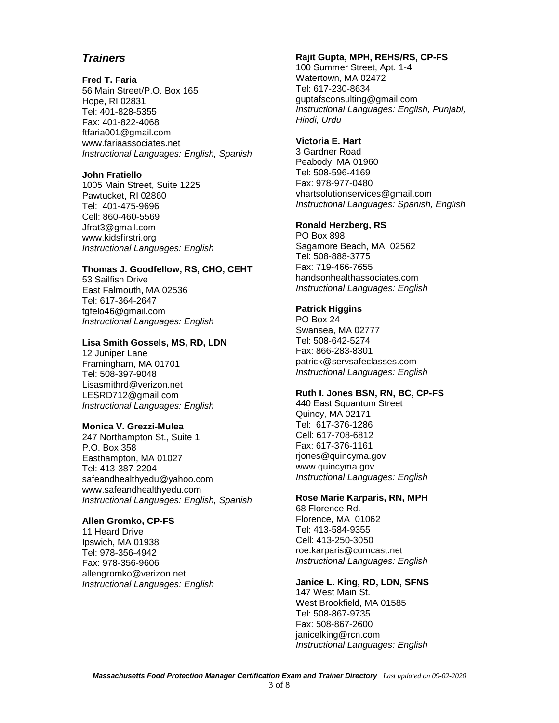## **Fred T. Faria**

56 Main Street/P.O. Box 165 Hope, RI 02831 Tel: 401-828-5355 Fax: 401-822-4068 ftfaria001@gmail.com www.fariaassociates.net *Instructional Languages: English, Spanish*

## **John Fratiello**

1005 Main Street, Suite 1225 Pawtucket, RI 02860 Tel: 401-475-9696 Cell: 860-460-5569 Jfrat3@gmail.com www.kidsfirstri.org *Instructional Languages: English*

## **Thomas J. Goodfellow, RS, CHO, CEHT**

53 Sailfish Drive East Falmouth, MA 02536 Tel: 617-364-2647 tgfelo46@gmail.com *Instructional Languages: English* 

## **Lisa Smith Gossels, MS, RD, LDN**

12 Juniper Lane Framingham, MA 01701 Tel: 508-397-9048 Lisasmithrd@verizon.net LESRD712@gmail.com *Instructional Languages: English*

## **Monica V. Grezzi-Mulea**

247 Northampton St., Suite 1 P.O. Box 358 Easthampton, MA 01027 Tel: 413-387-2204 safeandhealthyedu@yahoo.com www.safeandhealthyedu.com *Instructional Languages: English, Spanish*

## **Allen Gromko, CP-FS**

11 Heard Drive Ipswich, MA 01938 Tel: 978-356-4942 Fax: 978-356-9606 allengromko@verizon.net *Instructional Languages: English*

## **Rajit Gupta, MPH, REHS/RS, CP-FS**

100 Summer Street, Apt. 1-4 Watertown, MA 02472 Tel: 617-230-8634 guptafsconsulting@gmail.com *Instructional Languages: English, Punjabi, Hindi, Urdu*

## **Victoria E. Hart**

3 Gardner Road Peabody, MA 01960 Tel: 508-596-4169 Fax: 978-977-0480 vhartsolutionservices@gmail.com *Instructional Languages: Spanish, English*

## **Ronald Herzberg, RS**

PO Box 898 Sagamore Beach, MA 02562 Tel: 508-888-3775 Fax: 719-466-7655 handsonhealthassociates.com *Instructional Languages: English*

## **Patrick Higgins**

PO Box 24 Swansea, MA 02777 Tel: 508-642-5274 Fax: 866-283-8301 patrick@servsafeclasses.com *Instructional Languages: English*

## **Ruth I. Jones BSN, RN, BC, CP-FS**

440 East Squantum Street Quincy, MA 02171 Tel: 617-376-1286 Cell: 617-708-6812 Fax: 617-376-1161 rjones@quincyma.gov www.quincyma.gov *Instructional Languages: English*

# **Rose Marie Karparis, RN, MPH**

68 Florence Rd. Florence, MA 01062 Tel: 413-584-9355 Cell: 413-250-3050 roe.karparis@comcast.net *Instructional Languages: English*

## **Janice L. King, RD, LDN, SFNS**

147 West Main St. West Brookfield, MA 01585 Tel: 508-867-9735 Fax: 508-867-2600 janicelking@rcn.com *Instructional Languages: English*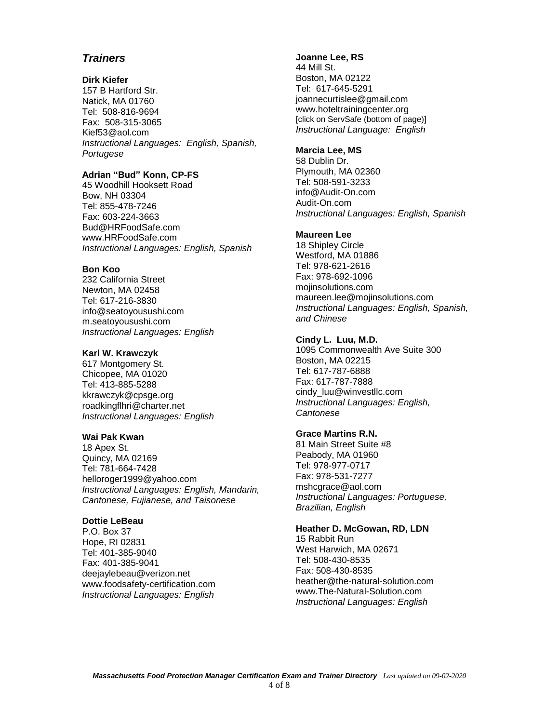#### **Dirk Kiefer**

157 B Hartford Str. Natick, MA 01760 Tel: 508-816-9694 Fax: 508-315-3065 Kief53@aol.com *Instructional Languages: English, Spanish, Portugese*

## **Adrian "Bud" Konn, CP-FS**

45 Woodhill Hooksett Road Bow, NH 03304 Tel: 855-478-7246 Fax: 603-224-3663 [Bud@HRFoodSafe.com](mailto:Bud@HRFoodSafe.com) [www.HRFoodSafe.com](http://www.hrfoodsafe.com/) *Instructional Languages: English, Spanish*

#### **Bon Koo**

232 California Street Newton, MA 02458 Tel: 617-216-3830 info@seatoyousushi.com m.seatoyousushi.com *Instructional Languages: English*

## **Karl W. Krawczyk**

617 Montgomery St. Chicopee, MA 01020 Tel: 413-885-5288 kkrawczyk@cpsge.org roadkingflhri@charter.net *Instructional Languages: English*

## **Wai Pak Kwan**

18 Apex St. Quincy, MA 02169 Tel: 781-664-7428 helloroger1999@yahoo.com *Instructional Languages: English, Mandarin, Cantonese, Fujianese, and Taisonese*

#### **Dottie LeBeau**

P.O. Box 37 Hope, RI 02831 Tel: 401-385-9040 Fax: 401-385-9041 deejaylebeau@verizon.net www.foodsafety-certification.com *Instructional Languages: English*

#### **Joanne Lee, RS**

44 Mill St. Boston, MA 02122 Tel: 617-645-5291 joannecurtislee@gmail.com www.hoteltrainingcenter.org [click on ServSafe (bottom of page)] *Instructional Language: English*

#### **Marcia Lee, MS**

58 Dublin Dr. Plymouth, MA 02360 Tel: 508-591-3233 info@Audit-On.com Audit-On.com *Instructional Languages: English, Spanish*

#### **Maureen Lee**

18 Shipley Circle Westford, MA 01886 Tel: 978-621-2616 Fax: 978-692-1096 mojinsolutions.com maureen.lee@mojinsolutions.com *Instructional Languages: English, Spanish, and Chinese*

#### **Cindy L. Luu, M.D.**

1095 Commonwealth Ave Suite 300 Boston, MA 02215 Tel: 617-787-6888 Fax: 617-787-7888 cindy\_luu@winvestllc.com *Instructional Languages: English, Cantonese*

## **Grace Martins R.N.**

81 Main Street Suite #8 Peabody, MA 01960 Tel: 978-977-0717 Fax: 978-531-7277 mshcgrace@aol.com *Instructional Languages: Portuguese, Brazilian, English*

# **Heather D. McGowan, RD, LDN**

15 Rabbit Run West Harwich, MA 02671 Tel: 508-430-8535 Fax: 508-430-8535 heather@the-natural-solution.com www.The-Natural-Solution.com *Instructional Languages: English*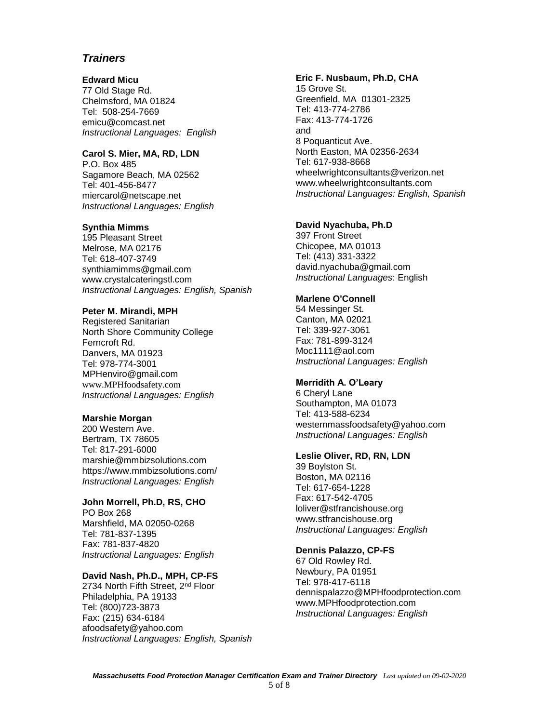#### **Edward Micu**

77 Old Stage Rd. Chelmsford, MA 01824 Tel: 508-254-7669 emicu@comcast.net *Instructional Languages: English*

#### **Carol S. Mier, MA, RD, LDN**

P.O. Box 485 Sagamore Beach, MA 02562 Tel: 401-456-8477 miercarol@netscape.net *Instructional Languages: English*

## **Synthia Mimms**

195 Pleasant Street Melrose, MA 02176 Tel: 618-407-3749 synthiamimms@gmail.com www.crystalcateringstl.com *Instructional Languages: English, Spanish*

#### **Peter M. Mirandi, MPH**

Registered Sanitarian North Shore Community College Ferncroft Rd. Danvers, MA 01923 Tel: 978-774-3001 MPHenviro@gmail.com www.MPHfoodsafety.com *Instructional Languages: English* 

### **Marshie Morgan**

200 Western Ave. Bertram, TX 78605 Tel: 817-291-6000 marshie@mmbizsolutions.com https://www.mmbizsolutions.com/ *Instructional Languages: English*

#### **John Morrell, Ph.D, RS, CHO**

PO Box 268 Marshfield, MA 02050-0268 Tel: 781-837-1395 Fax: 781-837-4820 *Instructional Languages: English*

#### **David Nash, Ph.D., MPH, CP-FS**

2734 North Fifth Street, 2nd Floor Philadelphia, PA 19133 Tel: (800)723-3873 Fax: (215) 634-6184 afoodsafety@yahoo.com *Instructional Languages: English, Spanish*

#### **Eric F. Nusbaum, Ph.D, CHA**

15 Grove St. Greenfield, MA 01301-2325 Tel: 413-774-2786 Fax: 413-774-1726 and 8 Poquanticut Ave. North Easton, MA 02356-2634 Tel: 617-938-8668 wheelwrightconsultants@verizon.net www.wheelwrightconsultants.com *Instructional Languages: English, Spanish*

## **David Nyachuba, Ph.D**

397 Front Street Chicopee, MA 01013 Tel: (413) 331-3322 david.nyachuba@gmail.com *Instructional Languages*: English

## **Marlene O'Connell**

54 Messinger St. Canton, MA 02021 Tel: 339-927-3061 Fax: 781-899-3124 Moc1111@aol.com *Instructional Languages: English*

#### **Merridith A. O'Leary**

6 Cheryl Lane Southampton, MA 01073 Tel: 413-588-6234 westernmassfoodsafety@yahoo.com *Instructional Languages: English*

#### **Leslie Oliver, RD, RN, LDN**

39 Boylston St. Boston, MA 02116 Tel: 617-654-1228 Fax: 617-542-4705 loliver@stfrancishouse.org www.stfrancishouse.org *Instructional Languages: English*

#### **Dennis Palazzo, CP-FS**

67 Old Rowley Rd. Newbury, PA 01951 Tel: 978-417-6118 dennispalazzo@MPHfoodprotection.com www.MPHfoodprotection.com *Instructional Languages: English*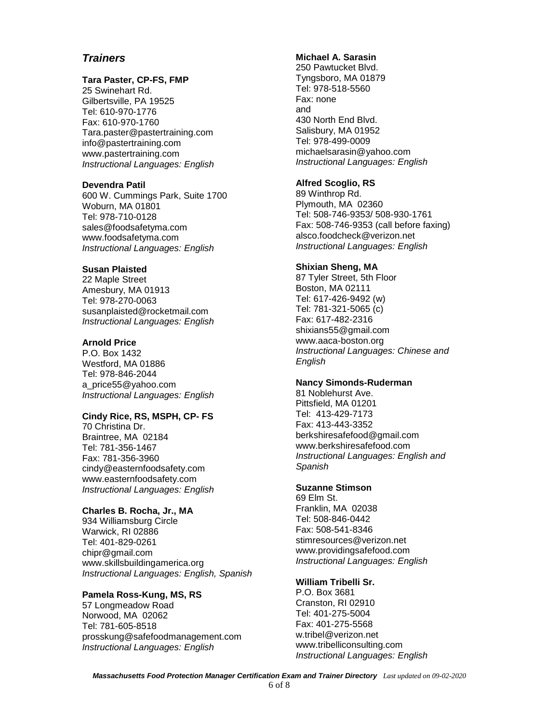## **Tara Paster, CP-FS, FMP**

25 Swinehart Rd. Gilbertsville, PA 19525 Tel: 610-970-1776 Fax: 610-970-1760 Tara.paster@pastertraining.com info@pastertraining.com www.pastertraining.com *Instructional Languages: English*

#### **Devendra Patil**

600 W. Cummings Park, Suite 1700 Woburn, MA 01801 Tel: 978-710-0128 sales@foodsafetyma.com www.foodsafetyma.com *Instructional Languages: English*

## **Susan Plaisted**

22 Maple Street Amesbury, MA 01913 Tel: 978-270-0063 susanplaisted@rocketmail.com *Instructional Languages: English*

## **Arnold Price**

P.O. Box 1432 Westford, MA 01886 Tel: 978-846-2044 a\_price55@yahoo.com *Instructional Languages: English*

## **Cindy Rice, RS, MSPH, CP- FS**

70 Christina Dr. Braintree, MA 02184 Tel: 781-356-1467 Fax: 781-356-3960 cindy@easternfoodsafety.com www.easternfoodsafety.com *Instructional Languages: English*

## **Charles B. Rocha, Jr., MA**

934 Williamsburg Circle Warwick, RI 02886 Tel: 401-829-0261 chipr@gmail.com www.skillsbuildingamerica.org *Instructional Languages: English, Spanish*

## **Pamela Ross-Kung, MS, RS**

57 Longmeadow Road Norwood, MA 02062 Tel: 781-605-8518 prosskung@safefoodmanagement.com *Instructional Languages: English*

## **Michael A. Sarasin**

250 Pawtucket Blvd. Tyngsboro, MA 01879 Tel: 978-518-5560 Fax: none and 430 North End Blvd. Salisbury, MA 01952 Tel: 978-499-0009 michaelsarasin@yahoo.com *Instructional Languages: English*

## **Alfred Scoglio, RS**

89 Winthrop Rd. Plymouth, MA 02360 Tel: 508-746-9353/ 508-930-1761 Fax: 508-746-9353 (call before faxing) alsco.foodcheck@verizon.net *Instructional Languages: English*

## **Shixian Sheng, MA**

87 Tyler Street, 5th Floor Boston, MA 02111 Tel: 617-426-9492 (w) Tel: 781-321-5065 (c) Fax: 617-482-2316 shixians55@gmail.com www.aaca-boston.org *Instructional Languages: Chinese and English*

#### **Nancy Simonds-Ruderman**

81 Noblehurst Ave. Pittsfield, MA 01201 Tel: 413-429-7173 Fax: 413-443-3352 berkshiresafefood@gmail.com www.berkshiresafefood.com *Instructional Languages: English and Spanish*

## **Suzanne Stimson**

69 Elm St. Franklin, MA 02038 Tel: 508-846-0442 Fax: 508-541-8346 stimresources@verizon.net www.providingsafefood.com *Instructional Languages: English* 

## **William Tribelli Sr.**

P.O. Box 3681 Cranston, RI 02910 Tel: 401-275-5004 Fax: 401-275-5568 w.tribel@verizon.net www.tribelliconsulting.com *Instructional Languages: English*

*Massachusetts Food Protection Manager Certification Exam and Trainer Directory Last updated on 09-02-2020*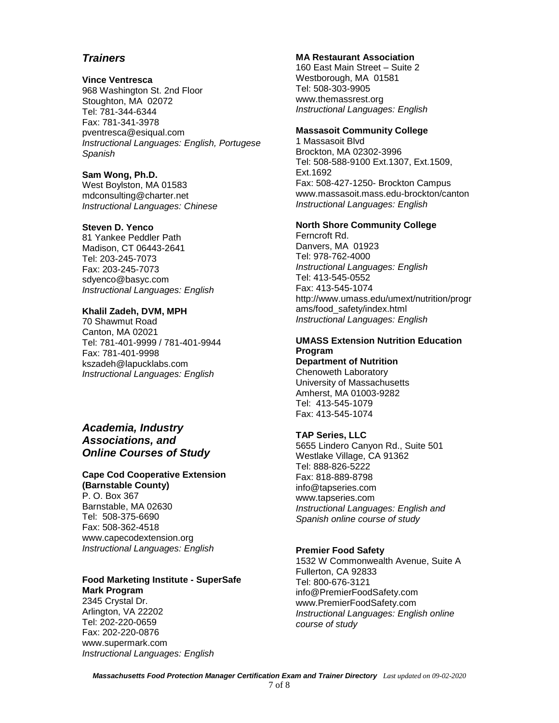## **Vince Ventresca**

968 Washington St. 2nd Floor Stoughton, MA 02072 Tel: 781-344-6344 Fax: 781-341-3978 pventresca@esiqual.com *Instructional Languages: English, Portugese Spanish*

#### **Sam Wong, Ph.D.**

West Boylston, MA 01583 mdconsulting@charter.net *Instructional Languages: Chinese*

## **Steven D. Yenco**

81 Yankee Peddler Path Madison, CT 06443-2641 Tel: 203-245-7073 Fax: 203-245-7073 sdyenco@basyc.com *Instructional Languages: English*

#### **Khalil Zadeh, DVM, MPH**

70 Shawmut Road Canton, MA 02021 Tel: 781-401-9999 / 781-401-9944 Fax: 781-401-9998 kszadeh@lapucklabs.com *Instructional Languages: English*

## *Academia, Industry Associations, and Online Courses of Study*

# **Cape Cod Cooperative Extension**

**(Barnstable County)** P. O. Box 367 Barnstable, MA 02630 Tel: 508-375-6690 Fax: 508-362-4518 www.capecodextension.org *Instructional Languages: English*

## **Food Marketing Institute - SuperSafe Mark Program**

2345 Crystal Dr. Arlington, VA 22202 Tel: 202-220-0659 Fax: 202-220-0876 www.supermark.com *Instructional Languages: English*

## **MA Restaurant Association**

160 East Main Street – Suite 2 Westborough, MA 01581 Tel: 508-303-9905 www.themassrest.org *Instructional Languages: English*

## **Massasoit Community College**

1 Massasoit Blvd Brockton, MA 02302-3996 Tel: 508-588-9100 Ext.1307, Ext.1509, Ext.1692 Fax: 508-427-1250- Brockton Campus www.massasoit.mass.edu-brockton/canton *Instructional Languages: English* 

## **North Shore Community College**

Ferncroft Rd. Danvers, MA 01923 Tel: 978-762-4000 *Instructional Languages: English* Tel: 413-545-0552 Fax: 413-545-1074 http://www.umass.edu/umext/nutrition/progr ams/food\_safety/index.html *Instructional Languages: English*

## **UMASS Extension Nutrition Education Program**

**Department of Nutrition** Chenoweth Laboratory University of Massachusetts Amherst, MA 01003-9282 Tel: 413-545-1079 Fax: 413-545-1074

## **TAP Series, LLC**

5655 Lindero Canyon Rd., Suite 501 Westlake Village, CA 91362 Tel: 888-826-5222 Fax: 818-889-8798 info@tapseries.com www.tapseries.com *Instructional Languages: English and Spanish online course of study*

## **Premier Food Safety**

1532 W Commonwealth Avenue, Suite A Fullerton, CA 92833 Tel: 800-676-3121 info@PremierFoodSafety.com www.PremierFoodSafety.com *Instructional Languages: English online course of study*